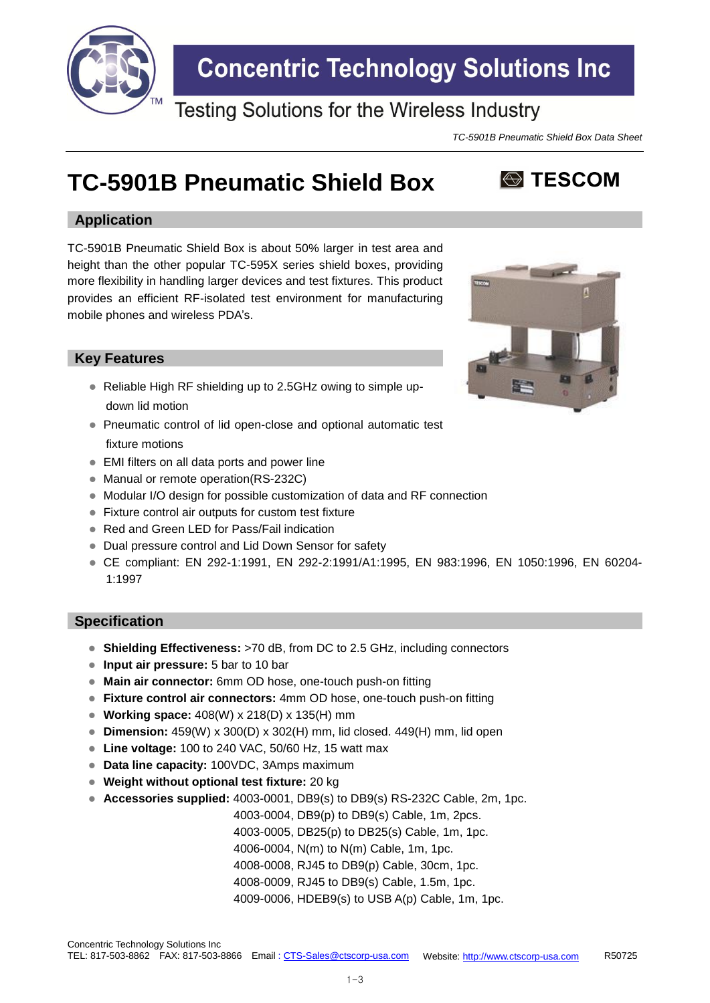

## **Concentric Technology Solutions Inc**

### **Testing Solutions for the Wireless Industry**

*TC-5901B Pneumatic Shield Box Data Sheet*

**S** TESCOM

## **TC-5901B Pneumatic Shield Box**

#### **Application**

TC-5901B Pneumatic Shield Box is about 50% larger in test area and height than the other popular TC-595X series shield boxes, providing more flexibility in handling larger devices and test fixtures. This product provides an efficient RF-isolated test environment for manufacturing mobile phones and wireless PDA's.

#### **Key Features**

- Reliable High RF shielding up to 2.5GHz owing to simple updown lid motion
- Pneumatic control of lid open-close and optional automatic test fixture motions
- EMI filters on all data ports and power line
- Manual or remote operation(RS-232C)
- Modular I/O design for possible customization of data and RF connection
- Fixture control air outputs for custom test fixture
- Red and Green LED for Pass/Fail indication
- Dual pressure control and Lid Down Sensor for safety
- CE compliant: EN 292-1:1991, EN 292-2:1991/A1:1995, EN 983:1996, EN 1050:1996, EN 60204- 1:1997

#### **Specification**

- **Shielding Effectiveness:** >70 dB, from DC to 2.5 GHz, including connectors
- **Input air pressure:** 5 bar to 10 bar
- **Main air connector:** 6mm OD hose, one-touch push-on fitting
- **Fixture control air connectors:** 4mm OD hose, one-touch push-on fitting
- **Working space:** 408(W) x 218(D) x 135(H) mm
- **Dimension:** 459(W) x 300(D) x 302(H) mm, lid closed. 449(H) mm, lid open
- **Line voltage:** 100 to 240 VAC, 50/60 Hz, 15 watt max
- **Data line capacity:** 100VDC, 3Amps maximum
- **Weight without optional test fixture:** 20 kg
- **Accessories supplied:** 4003-0001, DB9(s) to DB9(s) RS-232C Cable, 2m, 1pc.

4003-0004, DB9(p) to DB9(s) Cable, 1m, 2pcs.

4003-0005, DB25(p) to DB25(s) Cable, 1m, 1pc.

4006-0004, N(m) to N(m) Cable, 1m, 1pc.

4008-0008, RJ45 to DB9(p) Cable, 30cm, 1pc.

4008-0009, RJ45 to DB9(s) Cable, 1.5m, 1pc.

4009-0006, HDEB9(s) to USB A(p) Cable, 1m, 1pc.

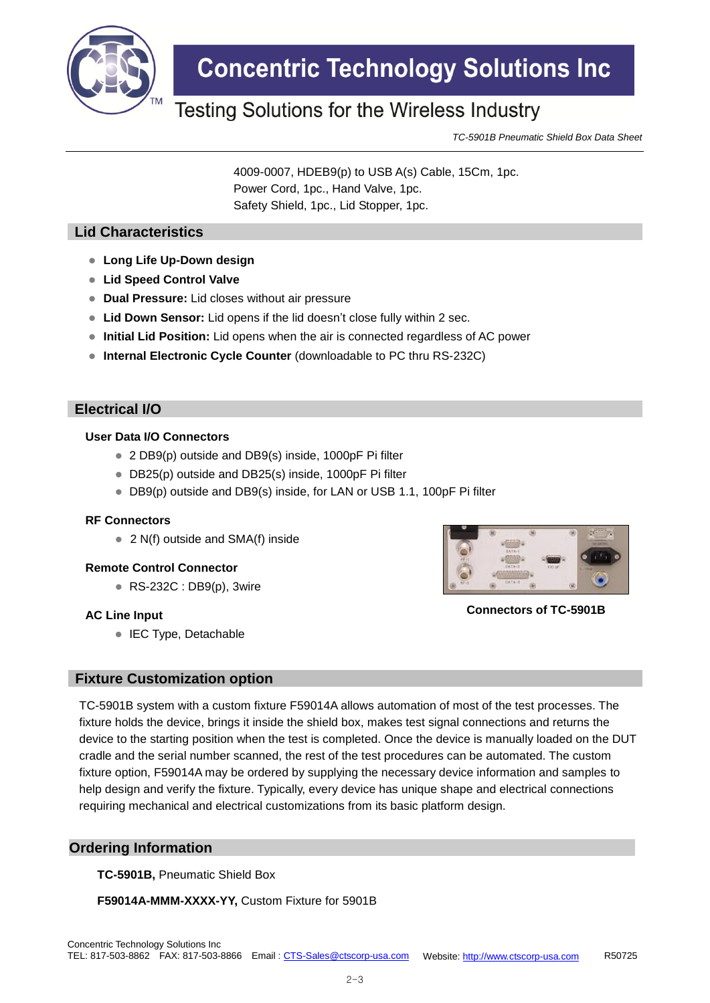

## **Concentric Technology Solutions Inc**

### Testing Solutions for the Wireless Industry

*TC-5901B Pneumatic Shield Box Data Sheet*

4009-0007, HDEB9(p) to USB A(s) Cable, 15Cm, 1pc. Power Cord, 1pc., Hand Valve, 1pc. Safety Shield, 1pc., Lid Stopper, 1pc.

#### **Lid Characteristics**

- **Long Life Up-Down design**
- **Lid Speed Control Valve**
- **Dual Pressure:** Lid closes without air pressure
- **Lid Down Sensor:** Lid opens if the lid doesn't close fully within 2 sec.
- **Initial Lid Position:** Lid opens when the air is connected regardless of AC power
- **Internal Electronic Cycle Counter** (downloadable to PC thru RS-232C)

#### **Electrical I/O**

#### **User Data I/O Connectors**

- 2 DB9(p) outside and DB9(s) inside, 1000pF Pi filter
- DB25(p) outside and DB25(s) inside, 1000pF Pi filter
- DB9(p) outside and DB9(s) inside, for LAN or USB 1.1, 100pF Pi filter

#### **RF Connectors**

● 2 N(f) outside and SMA(f) inside

#### **Remote Control Connector**

RS-232C : DB9(p), 3wire

#### **AC Line Input**

● IEC Type, Detachable



**Connectors of TC-5901B**

#### **Fixture Customization option**

TC-5901B system with a custom fixture F59014A allows automation of most of the test processes. The fixture holds the device, brings it inside the shield box, makes test signal connections and returns the device to the starting position when the test is completed. Once the device is manually loaded on the DUT cradle and the serial number scanned, the rest of the test procedures can be automated. The custom fixture option, F59014A may be ordered by supplying the necessary device information and samples to help design and verify the fixture. Typically, every device has unique shape and electrical connections requiring mechanical and electrical customizations from its basic platform design.

#### **Ordering Information**

**TC-5901B,** Pneumatic Shield Box

**F59014A-MMM-XXXX-YY,** Custom Fixture for 5901B